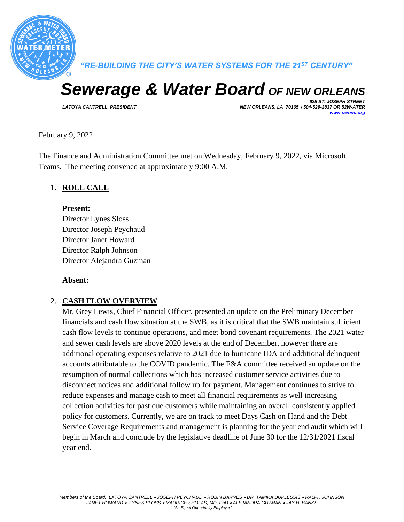

*"RE-BUILDING THE CITY'S WATER SYSTEMS FOR THE 21ST CENTURY"*

# *Sewerage & Water Board OF NEW ORLEANS*

*625 ST. JOSEPH STREET LATOYA CANTRELL, PRESIDENT NEW ORLEANS, LA 70165* • *504-529-2837 OR 52W-ATER [www.swbno.org](http://www.swbno.org/)*

February 9, 2022

The Finance and Administration Committee met on Wednesday, February 9, 2022, via Microsoft Teams. The meeting convened at approximately 9:00 A.M.

#### 1. **ROLL CALL**

#### **Present:**

Director Lynes Sloss Director Joseph Peychaud Director Janet Howard Director Ralph Johnson Director Alejandra Guzman

#### **Absent:**

#### 2. **CASH FLOW OVERVIEW**

Mr. Grey Lewis, Chief Financial Officer, presented an update on the Preliminary December financials and cash flow situation at the SWB, as it is critical that the SWB maintain sufficient cash flow levels to continue operations, and meet bond covenant requirements. The 2021 water and sewer cash levels are above 2020 levels at the end of December, however there are additional operating expenses relative to 2021 due to hurricane IDA and additional delinquent accounts attributable to the COVID pandemic. The F&A committee received an update on the resumption of normal collections which has increased customer service activities due to disconnect notices and additional follow up for payment. Management continues to strive to reduce expenses and manage cash to meet all financial requirements as well increasing collection activities for past due customers while maintaining an overall consistently applied policy for customers. Currently, we are on track to meet Days Cash on Hand and the Debt Service Coverage Requirements and management is planning for the year end audit which will begin in March and conclude by the legislative deadline of June 30 for the 12/31/2021 fiscal year end.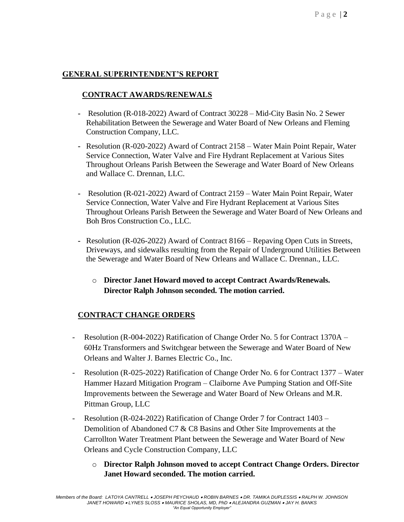#### **GENERAL SUPERINTENDENT'S REPORT**

#### **CONTRACT AWARDS/RENEWALS**

- **-** Resolution (R-018-2022) Award of Contract 30228 Mid-City Basin No. 2 Sewer Rehabilitation Between the Sewerage and Water Board of New Orleans and Fleming Construction Company, LLC.
- **-** Resolution (R-020-2022) Award of Contract 2158 Water Main Point Repair, Water Service Connection, Water Valve and Fire Hydrant Replacement at Various Sites Throughout Orleans Parish Between the Sewerage and Water Board of New Orleans and Wallace C. Drennan, LLC.
- **-** Resolution (R-021-2022) Award of Contract 2159 Water Main Point Repair, Water Service Connection, Water Valve and Fire Hydrant Replacement at Various Sites Throughout Orleans Parish Between the Sewerage and Water Board of New Orleans and Boh Bros Construction Co., LLC.
- **-** Resolution (R-026-2022) Award of Contract 8166 Repaving Open Cuts in Streets, Driveways, and sidewalks resulting from the Repair of Underground Utilities Between the Sewerage and Water Board of New Orleans and Wallace C. Drennan., LLC.
	- o **Director Janet Howard moved to accept Contract Awards/Renewals. Director Ralph Johnson seconded. The motion carried.**

## **CONTRACT CHANGE ORDERS**

- Resolution (R-004-2022) Ratification of Change Order No. 5 for Contract 1370A 60Hz Transformers and Switchgear between the Sewerage and Water Board of New Orleans and Walter J. Barnes Electric Co., Inc.
- Resolution (R-025-2022) Ratification of Change Order No. 6 for Contract 1377 Water Hammer Hazard Mitigation Program – Claiborne Ave Pumping Station and Off-Site Improvements between the Sewerage and Water Board of New Orleans and M.R. Pittman Group, LLC
- Resolution (R-024-2022) Ratification of Change Order 7 for Contract 1403 Demolition of Abandoned C7 & C8 Basins and Other Site Improvements at the Carrollton Water Treatment Plant between the Sewerage and Water Board of New Orleans and Cycle Construction Company, LLC
	- o **Director Ralph Johnson moved to accept Contract Change Orders. Director Janet Howard seconded. The motion carried.**